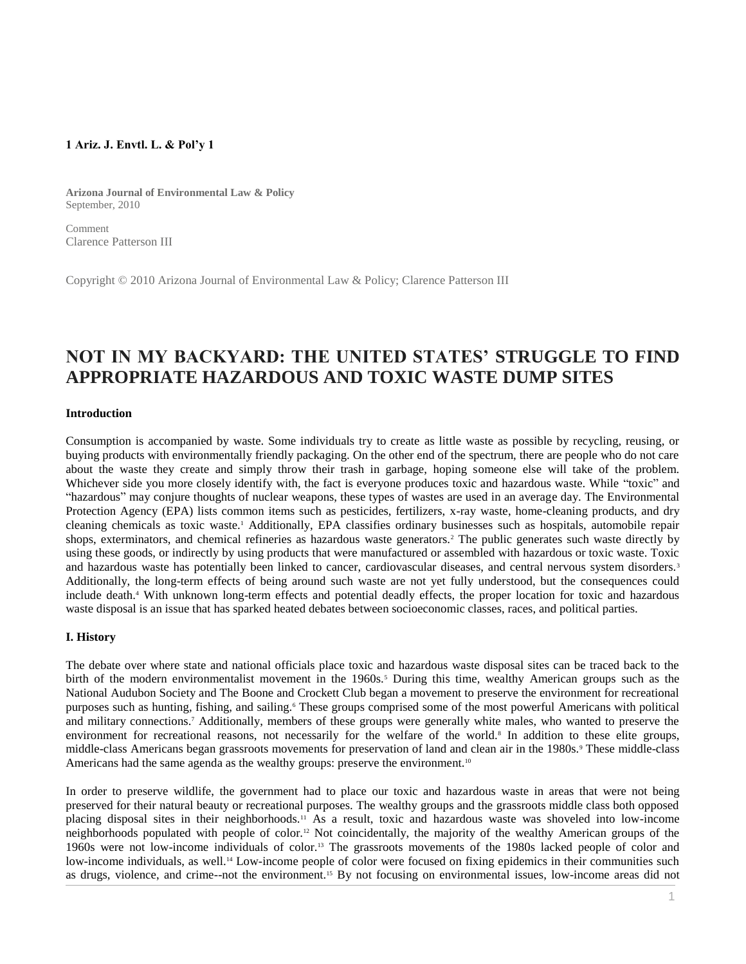## **1 Ariz. J. Envtl. L. & Pol'y 1**

**Arizona Journal of Environmental Law & Policy** September, 2010

Comment Clarence Patterson III

Copyright © 2010 Arizona Journal of Environmental Law & Policy; Clarence Patterson III

# **NOT IN MY BACKYARD: THE UNITED STATES' STRUGGLE TO FIND APPROPRIATE HAZARDOUS AND TOXIC WASTE DUMP SITES**

#### **Introduction**

Consumption is accompanied by waste. Some individuals try to create as little waste as possible by recycling, reusing, or buying products with environmentally friendly packaging. On the other end of the spectrum, there are people who do not care about the waste they create and simply throw their trash in garbage, hoping someone else will take of the problem. Whichever side you more closely identify with, the fact is everyone produces toxic and hazardous waste. While "toxic" and "hazardous" may conjure thoughts of nuclear weapons, these types of wastes are used in an average day. The Environmental Protection Agency (EPA) lists common items such as pesticides, fertilizers, x-ray waste, home-cleaning products, and dry cleaning chemicals as toxic waste.<sup>1</sup> Additionally, EPA classifies ordinary businesses such as hospitals, automobile repair shops, exterminators, and chemical refineries as hazardous waste generators.<sup>2</sup> The public generates such waste directly by using these goods, or indirectly by using products that were manufactured or assembled with hazardous or toxic waste. Toxic and hazardous waste has potentially been linked to cancer, cardiovascular diseases, and central nervous system disorders.<sup>3</sup> Additionally, the long-term effects of being around such waste are not yet fully understood, but the consequences could include death.<sup>4</sup> With unknown long-term effects and potential deadly effects, the proper location for toxic and hazardous waste disposal is an issue that has sparked heated debates between socioeconomic classes, races, and political parties.

#### **I. History**

The debate over where state and national officials place toxic and hazardous waste disposal sites can be traced back to the birth of the modern environmentalist movement in the 1960s.<sup>5</sup> During this time, wealthy American groups such as the National Audubon Society and The Boone and Crockett Club began a movement to preserve the environment for recreational purposes such as hunting, fishing, and sailing.<sup>6</sup> These groups comprised some of the most powerful Americans with political and military connections.<sup>7</sup> Additionally, members of these groups were generally white males, who wanted to preserve the environment for recreational reasons, not necessarily for the welfare of the world.<sup>8</sup> In addition to these elite groups, middle-class Americans began grassroots movements for preservation of land and clean air in the 1980s.<sup>9</sup> These middle-class Americans had the same agenda as the wealthy groups: preserve the environment.<sup>10</sup>

In order to preserve wildlife, the government had to place our toxic and hazardous waste in areas that were not being preserved for their natural beauty or recreational purposes. The wealthy groups and the grassroots middle class both opposed placing disposal sites in their neighborhoods.<sup>11</sup> As a result, toxic and hazardous waste was shoveled into low-income neighborhoods populated with people of color.<sup>12</sup> Not coincidentally, the majority of the wealthy American groups of the 1960s were not low-income individuals of color.<sup>13</sup> The grassroots movements of the 1980s lacked people of color and low-income individuals, as well.<sup>14</sup> Low-income people of color were focused on fixing epidemics in their communities such as drugs, violence, and crime--not the environment.<sup>15</sup> By not focusing on environmental issues, low-income areas did not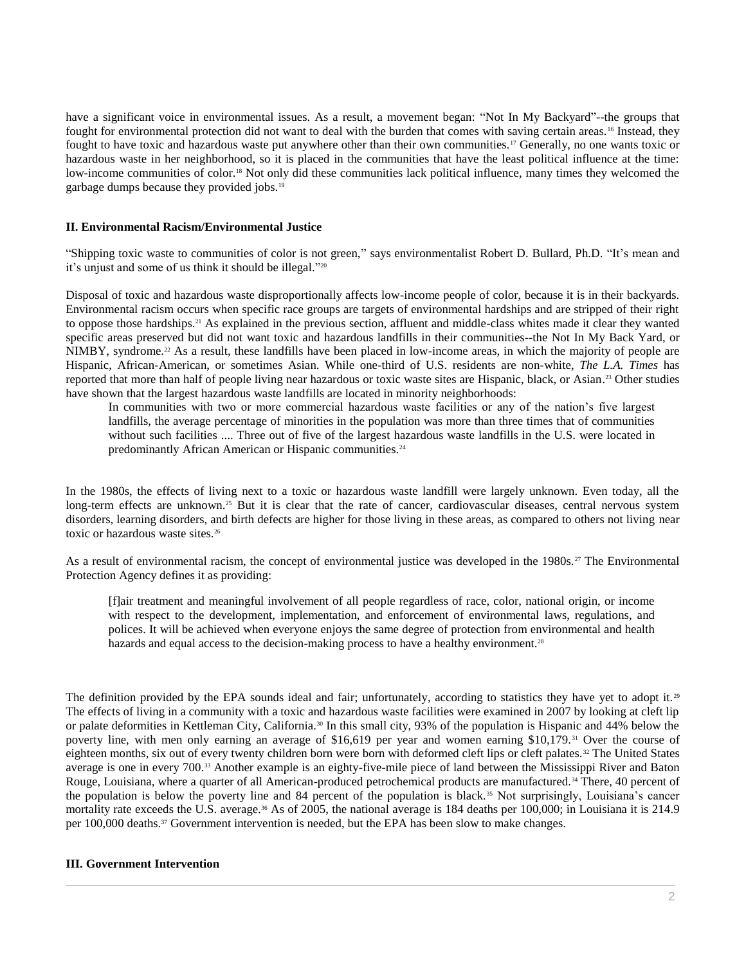have a significant voice in environmental issues. As a result, a movement began: "Not In My Backyard"--the groups that fought for environmental protection did not want to deal with the burden that comes with saving certain areas.<sup>16</sup> Instead, they fought to have toxic and hazardous waste put anywhere other than their own communities.<sup>17</sup> Generally, no one wants toxic or hazardous waste in her neighborhood, so it is placed in the communities that have the least political influence at the time: low-income communities of color.<sup>18</sup> Not only did these communities lack political influence, many times they welcomed the garbage dumps because they provided jobs.<sup>19</sup>

#### **II. Environmental Racism/Environmental Justice**

"Shipping toxic waste to communities of color is not green," says environmentalist Robert D. Bullard, Ph.D. "It's mean and it's unjust and some of us think it should be illegal." 20

Disposal of toxic and hazardous waste disproportionally affects low-income people of color, because it is in their backyards. Environmental racism occurs when specific race groups are targets of environmental hardships and are stripped of their right to oppose those hardships.<sup>21</sup> As explained in the previous section, affluent and middle-class whites made it clear they wanted specific areas preserved but did not want toxic and hazardous landfills in their communities--the Not In My Back Yard, or NIMBY, syndrome.<sup>22</sup> As a result, these landfills have been placed in low-income areas, in which the majority of people are Hispanic, African-American, or sometimes Asian. While one-third of U.S. residents are non-white, *The L.A. Times* has reported that more than half of people living near hazardous or toxic waste sites are Hispanic, black, or Asian. <sup>23</sup> Other studies have shown that the largest hazardous waste landfills are located in minority neighborhoods:

In communities with two or more commercial hazardous waste facilities or any of the nation's five largest landfills, the average percentage of minorities in the population was more than three times that of communities without such facilities .... Three out of five of the largest hazardous waste landfills in the U.S. were located in predominantly African American or Hispanic communities.<sup>24</sup>

In the 1980s, the effects of living next to a toxic or hazardous waste landfill were largely unknown. Even today, all the long-term effects are unknown.<sup>25</sup> But it is clear that the rate of cancer, cardiovascular diseases, central nervous system disorders, learning disorders, and birth defects are higher for those living in these areas, as compared to others not living near toxic or hazardous waste sites.<sup>26</sup>

As a result of environmental racism, the concept of environmental justice was developed in the 1980s.<sup>27</sup> The Environmental Protection Agency defines it as providing:

[f]air treatment and meaningful involvement of all people regardless of race, color, national origin, or income with respect to the development, implementation, and enforcement of environmental laws, regulations, and polices. It will be achieved when everyone enjoys the same degree of protection from environmental and health hazards and equal access to the decision-making process to have a healthy environment.<sup>28</sup>

The definition provided by the EPA sounds ideal and fair; unfortunately, according to statistics they have yet to adopt it.<sup>29</sup> The effects of living in a community with a toxic and hazardous waste facilities were examined in 2007 by looking at cleft lip or palate deformities in Kettleman City, California.<sup>30</sup> In this small city, 93% of the population is Hispanic and 44% below the poverty line, with men only earning an average of \$16,619 per year and women earning \$10,179.<sup>31</sup> Over the course of eighteen months, six out of every twenty children born were born with deformed cleft lips or cleft palates. <sup>32</sup> The United States average is one in every 700.<sup>33</sup> Another example is an eighty-five-mile piece of land between the Mississippi River and Baton Rouge, Louisiana, where a quarter of all American-produced petrochemical products are manufactured.<sup>34</sup> There, 40 percent of the population is below the poverty line and 84 percent of the population is black.<sup>35</sup> Not surprisingly, Louisiana's cancer mortality rate exceeds the U.S. average.<sup>36</sup> As of 2005, the national average is 184 deaths per 100,000; in Louisiana it is 214.9 per 100,000 deaths.<sup>37</sup> Government intervention is needed, but the EPA has been slow to make changes.

## **III. Government Intervention**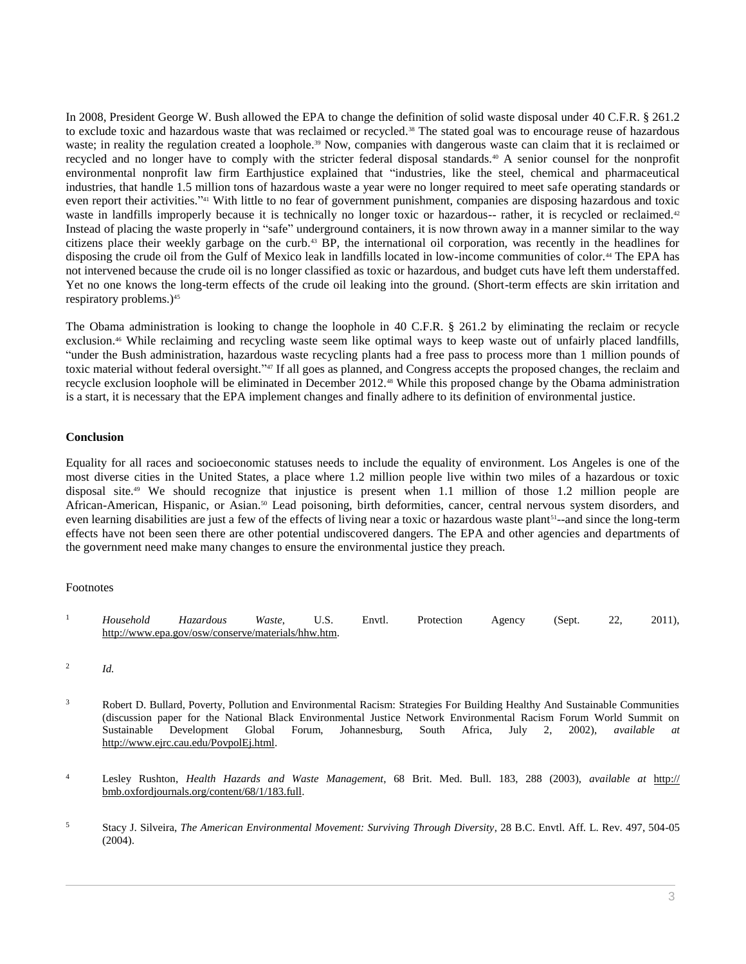In 2008, President George W. Bush allowed the EPA to change the definition of solid waste disposal under [40 C.F.R. § 261.2](http://www.westlaw.com/Link/Document/FullText?findType=L&pubNum=1000547&cite=40CFRS261.2&originatingDoc=Ic08a3acc8c0f11e498db8b09b4f043e0&refType=LQ&originationContext=document&vr=3.0&rs=cblt1.0&transitionType=DocumentItem&contextData=(sc.Search)) to exclude toxic and hazardous waste that was reclaimed or recycled.<sup>38</sup> The stated goal was to encourage reuse of hazardous waste; in reality the regulation created a loophole.<sup>39</sup> Now, companies with dangerous waste can claim that it is reclaimed or recycled and no longer have to comply with the stricter federal disposal standards.<sup>40</sup> A senior counsel for the nonprofit environmental nonprofit law firm Earthjustice explained that "industries, like the steel, chemical and pharmaceutical industries, that handle 1.5 million tons of hazardous waste a year were no longer required to meet safe operating standards or even report their activities."<sup>41</sup> With little to no fear of government punishment, companies are disposing hazardous and toxic waste in landfills improperly because it is technically no longer toxic or hazardous-- rather, it is recycled or reclaimed.<sup>42</sup> Instead of placing the waste properly in "safe" underground containers, it is now thrown away in a manner similar to the way citizens place their weekly garbage on the curb.<sup>43</sup> BP, the international oil corporation, was recently in the headlines for disposing the crude oil from the Gulf of Mexico leak in landfills located in low-income communities of color.<sup>44</sup> The EPA has not intervened because the crude oil is no longer classified as toxic or hazardous, and budget cuts have left them understaffed. Yet no one knows the long-term effects of the crude oil leaking into the ground. (Short-term effects are skin irritation and respiratory problems.)<sup>45</sup>

The Obama administration is looking to change the loophole in [40 C.F.R. § 261.2](http://www.westlaw.com/Link/Document/FullText?findType=L&pubNum=1000547&cite=40CFRS261.2&originatingDoc=Ic08a3acc8c0f11e498db8b09b4f043e0&refType=LQ&originationContext=document&vr=3.0&rs=cblt1.0&transitionType=DocumentItem&contextData=(sc.Search)) by eliminating the reclaim or recycle exclusion.<sup>46</sup> While reclaiming and recycling waste seem like optimal ways to keep waste out of unfairly placed landfills, "under the Bush administration, hazardous waste recycling plants had a free pass to process more than 1 million pounds of toxic material without federal oversight." <sup>47</sup> If all goes as planned, and Congress accepts the proposed changes, the reclaim and recycle exclusion loophole will be eliminated in December 2012.<sup>48</sup> While this proposed change by the Obama administration is a start, it is necessary that the EPA implement changes and finally adhere to its definition of environmental justice.

#### **Conclusion**

Equality for all races and socioeconomic statuses needs to include the equality of environment. Los Angeles is one of the most diverse cities in the United States, a place where 1.2 million people live within two miles of a hazardous or toxic disposal site.<sup>49</sup> We should recognize that injustice is present when 1.1 million of those 1.2 million people are African-American, Hispanic, or Asian.<sup>50</sup> Lead poisoning, birth deformities, cancer, central nervous system disorders, and even learning disabilities are just a few of the effects of living near a toxic or hazardous waste plant<sup>51</sup>--and since the long-term effects have not been seen there are other potential undiscovered dangers. The EPA and other agencies and departments of the government need make many changes to ensure the environmental justice they preach.

## Footnotes

- <sup>1</sup> *Household Hazardous Waste*, U.S. Envtl. Protection Agency (Sept. 22, 2011), http://www.epa.gov/osw/conserve/materials/hhw.htm.
- 2 *Id.*
- <sup>3</sup> Robert D. Bullard, Poverty, Pollution and Environmental Racism: Strategies For Building Healthy And Sustainable Communities (discussion paper for the National Black Environmental Justice Network Environmental Racism Forum World Summit on Sustainable Development Global Forum, Johannesburg, South Africa, July 2, 2002), *available at* http://www.ejrc.cau.edu/PovpolEj.html.
- <sup>4</sup> Lesley Rushton, *Health Hazards and Waste Management*, 68 Brit. Med. Bull. 183, 288 (2003), *available at* http:// bmb.oxfordjournals.org/content/68/1/183.full.
- <sup>5</sup> Stacy J. Silveira, *[The American Environmental Movement: Surviving Through Diversity](http://www.westlaw.com/Link/Document/FullText?findType=Y&serNum=0284252131&pubNum=0001097&originatingDoc=Ic08a3acc8c0f11e498db8b09b4f043e0&refType=LR&fi=co_pp_sp_1097_504&originationContext=document&vr=3.0&rs=cblt1.0&transitionType=DocumentItem&contextData=(sc.Search)#co_pp_sp_1097_504)*, 28 B.C. Envtl. Aff. L. Rev. 497, 504-05 [\(2004\).](http://www.westlaw.com/Link/Document/FullText?findType=Y&serNum=0284252131&pubNum=0001097&originatingDoc=Ic08a3acc8c0f11e498db8b09b4f043e0&refType=LR&fi=co_pp_sp_1097_504&originationContext=document&vr=3.0&rs=cblt1.0&transitionType=DocumentItem&contextData=(sc.Search)#co_pp_sp_1097_504)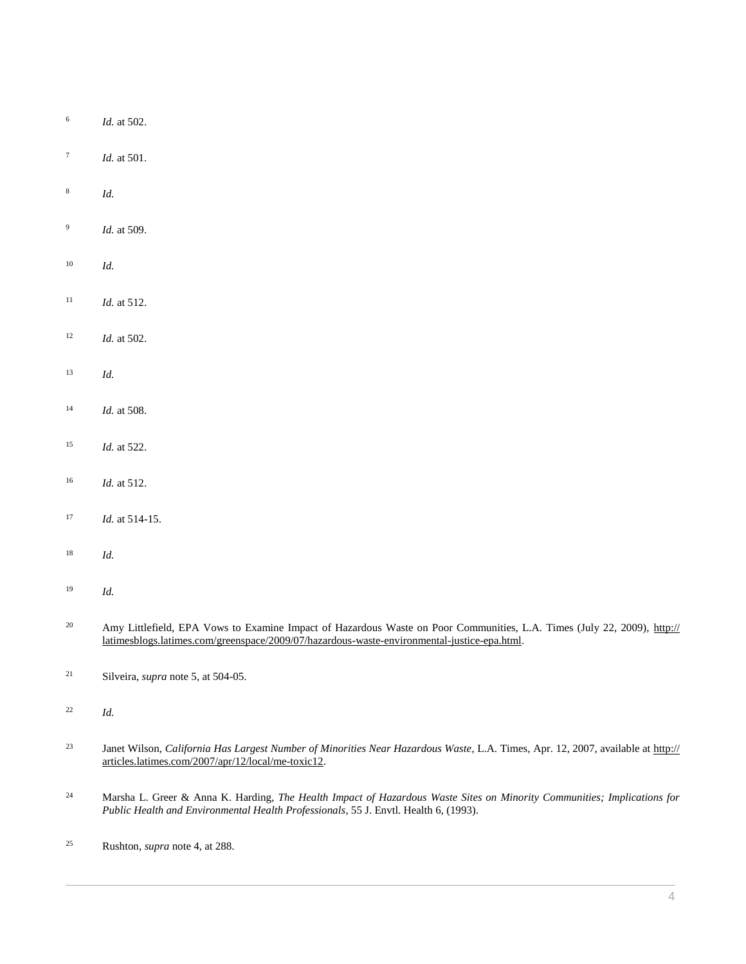- *Id.* [at 502.](http://www.westlaw.com/Link/Document/FullText?findType=Y&serNum=0284252131&pubNum=0001097&originatingDoc=Ic08a3acc8c0f11e498db8b09b4f043e0&refType=LR&fi=co_pp_sp_1097_502&originationContext=document&vr=3.0&rs=cblt1.0&transitionType=DocumentItem&contextData=(sc.Search)#co_pp_sp_1097_502)
- *Id.* [at 501.](http://www.westlaw.com/Link/Document/FullText?findType=Y&serNum=0284252131&pubNum=0001097&originatingDoc=Ic08a3acc8c0f11e498db8b09b4f043e0&refType=LR&fi=co_pp_sp_1097_501&originationContext=document&vr=3.0&rs=cblt1.0&transitionType=DocumentItem&contextData=(sc.Search)#co_pp_sp_1097_501)
- *Id.*
- *Id.* at 509.
- *Id.*
- <sup>11</sup> *Id.* at 512.
- *Id.* at 502.
- *Id.*
- *Id.* at 508.
- *Id.* at 522.
- *Id.* at 512.
- *Id.* at 514-15.
- *Id.*
- *Id.*
- <sup>20</sup> Amy Littlefield, EPA Vows to Examine Impact of Hazardous Waste on Poor Communities, L.A. Times (July 22, 2009), http:// latimesblogs.latimes.com/greenspace/2009/07/hazardous-waste-environmental-justice-epa.html.
- Silveira, *supra* note 5, at 504-05.
- *Id.*
- Janet Wilson, *California Has Largest Number of Minorities Near Hazardous Waste*, L.A. Times, Apr. 12, 2007, available at http:// articles.latimes.com/2007/apr/12/local/me-toxic12.
- Marsha L. Greer & Anna K. Harding, *The Health Impact of Hazardous Waste Sites on Minority Communities; Implications for Public Health and Environmental Health Professionals*, 55 J. Envtl. Health 6, (1993).
- Rushton, *supra* note 4, at 288.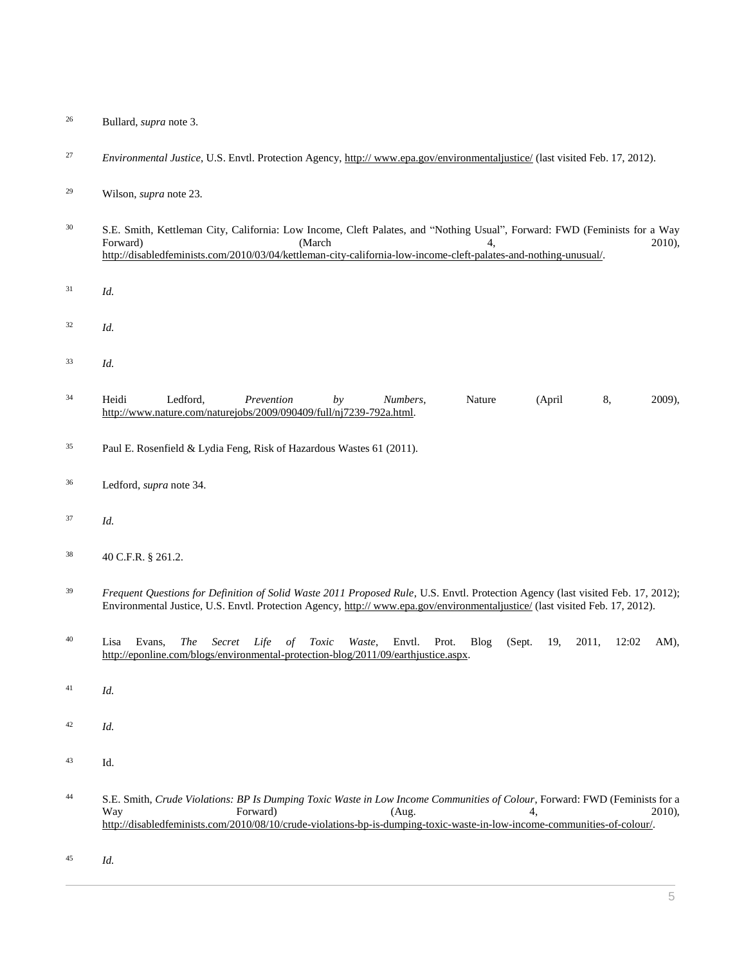- Bullard, *supra* note 3.
- *Environmental Justice*, U.S. Envtl. Protection Agency, http:// www.epa.gov/environmentaljustice/ (last visited Feb. 17, 2012).

- S.E. Smith, Kettleman City, California: Low Income, Cleft Palates, and "Nothing Usual", Forward: FWD (Feminists for a Way Forward) (March 4, 2010), http://disabledfeminists.com/2010/03/04/kettleman-city-california-low-income-cleft-palates-and-nothing-unusual/.
- *Id.*
- *Id.*
- *Id.*
- Heidi Ledford, *Prevention by Numbers*, Nature (April 8, 2009), http://www.nature.com/naturejobs/2009/090409/full/nj7239-792a.html.
- Paul E. Rosenfield & Lydia Feng, Risk of Hazardous Wastes 61 (2011).
- Ledford, *supra* note 34.
- *Id.*
- [40 C.F.R. § 261.2.](http://www.westlaw.com/Link/Document/FullText?findType=L&pubNum=1000547&cite=40CFRS261.2&originatingDoc=Ic08a3acc8c0f11e498db8b09b4f043e0&refType=LQ&originationContext=document&vr=3.0&rs=cblt1.0&transitionType=DocumentItem&contextData=(sc.Search))
- <sup>39</sup> *Frequent Questions for Definition of Solid Waste 2011 Proposed Rule*, U.S. Envtl. Protection Agency (last visited Feb. 17, 2012); Environmental Justice, U.S. Envtl. Protection Agency, http:// www.epa.gov/environmentaljustice/ (last visited Feb. 17, 2012).
- Lisa Evans, *The Secret Life of Toxic Waste*, Envtl. Prot. Blog (Sept. 19, 2011, 12:02 AM), http://eponline.com/blogs/environmental-protection-blog/2011/09/earthjustice.aspx.
- *Id.*
- *Id.*
- Id.
- S.E. Smith, *Crude Violations: BP Is Dumping Toxic Waste in Low Income Communities of Colour*, Forward: FWD (Feminists for a Way **Forward**  $(Aug. 4, 2010)$ , http://disabledfeminists.com/2010/08/10/crude-violations-bp-is-dumping-toxic-waste-in-low-income-communities-of-colour/.
- *Id.*

Wilson, *supra* note 23.